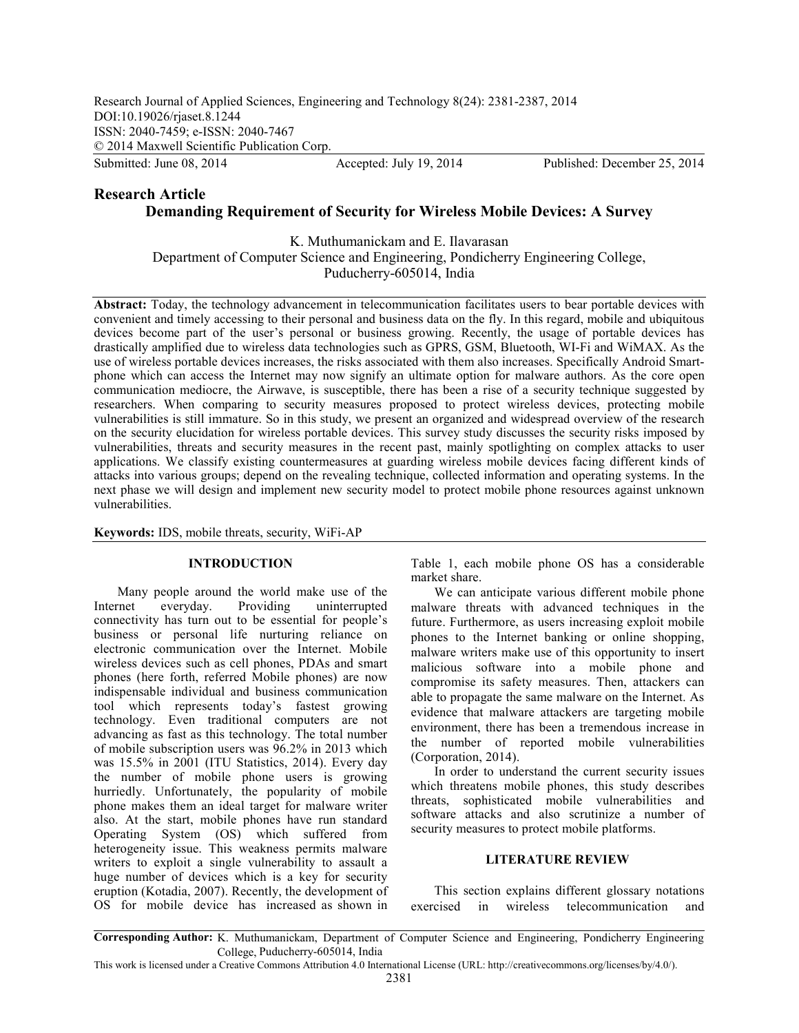# **Research Article Demanding Requirement of Security for Wireless Mobile Devices: A Survey**

K. Muthumanickam and E. Ilavarasan Department of Computer Science and Engineering, Pondicherry Engineering College, Puducherry-605014, India

**Abstract:** Today, the technology advancement in telecommunication facilitates users to bear portable devices with convenient and timely accessing to their personal and business data on the fly. In this regard, mobile and ubiquitous devices become part of the user's personal or business growing. Recently, the usage of portable devices has drastically amplified due to wireless data technologies such as GPRS, GSM, Bluetooth, WI-Fi and WiMAX. As the use of wireless portable devices increases, the risks associated with them also increases. Specifically Android Smartphone which can access the Internet may now signify an ultimate option for malware authors. As the core open communication mediocre, the Airwave, is susceptible, there has been a rise of a security technique suggested by researchers. When comparing to security measures proposed to protect wireless devices, protecting mobile vulnerabilities is still immature. So in this study, we present an organized and widespread overview of the research on the security elucidation for wireless portable devices. This survey study discusses the security risks imposed by vulnerabilities, threats and security measures in the recent past, mainly spotlighting on complex attacks to user applications. We classify existing countermeasures at guarding wireless mobile devices facing different kinds of attacks into various groups; depend on the revealing technique, collected information and operating systems. In the next phase we will design and implement new security model to protect mobile phone resources against unknown vulnerabilities.

### **Keywords:** IDS, mobile threats, security, WiFi-AP

### **INTRODUCTION**

Many people around the world make use of the Internet everyday. Providing uninterrupted connectivity has turn out to be essential for people's business or personal life nurturing reliance on electronic communication over the Internet. Mobile wireless devices such as cell phones, PDAs and smart phones (here forth, referred Mobile phones) are now indispensable individual and business communication tool which represents today's fastest growing technology. Even traditional computers are not advancing as fast as this technology. The total number of mobile subscription users was 96.2% in 2013 which was 15.5% in 2001 (ITU Statistics, 2014). Every day the number of mobile phone users is growing hurriedly. Unfortunately, the popularity of mobile phone makes them an ideal target for malware writer also. At the start, mobile phones have run standard Operating System (OS) which suffered from heterogeneity issue. This weakness permits malware writers to exploit a single vulnerability to assault a huge number of devices which is a key for security eruption (Kotadia, 2007). Recently, the development of OS for mobile device has increased as shown in

Table 1, each mobile phone OS has a considerable market share.

We can anticipate various different mobile phone malware threats with advanced techniques in the future. Furthermore, as users increasing exploit mobile phones to the Internet banking or online shopping, malware writers make use of this opportunity to insert malicious software into a mobile phone and compromise its safety measures. Then, attackers can able to propagate the same malware on the Internet. As evidence that malware attackers are targeting mobile environment, there has been a tremendous increase in the number of reported mobile vulnerabilities (Corporation, 2014).

In order to understand the current security issues which threatens mobile phones, this study describes threats, sophisticated mobile vulnerabilities and software attacks and also scrutinize a number of security measures to protect mobile platforms.

### **LITERATURE REVIEW**

This section explains different glossary notations exercised in wireless telecommunication and

**Corresponding Author:** K. Muthumanickam, Department of Computer Science and Engineering, Pondicherry Engineering College, Puducherry-605014, India

This work is licensed under a Creative Commons Attribution 4.0 International License (URL: http://creativecommons.org/licenses/by/4.0/).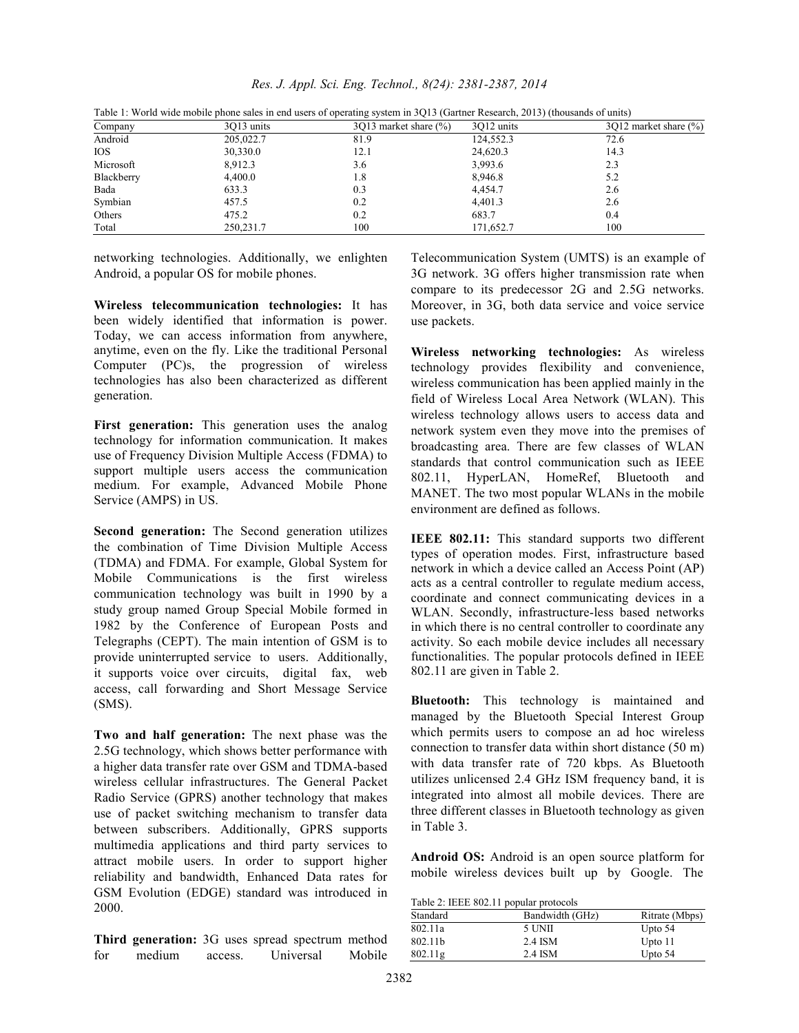|            |            | Table 1. World wide mobile phone sales in end users of operating system in 5QT5 (Gartner Research, 2015) (mousands of units) |            |                                   |
|------------|------------|------------------------------------------------------------------------------------------------------------------------------|------------|-----------------------------------|
| Company    | 3013 units | $3013$ market share $\frac{9}{6}$                                                                                            | 3012 units | $3012$ market share $\frac{9}{6}$ |
| Android    | 205,022.7  | 81.9                                                                                                                         | 124,552.3  | 72.6                              |
| <b>IOS</b> | 30,330.0   | 12.1                                                                                                                         | 24,620.3   | 14.3                              |
| Microsoft  | 8.912.3    | 3.6                                                                                                                          | 3,993.6    | 2.3                               |
| Blackberry | 4,400.0    | 1.8                                                                                                                          | 8,946.8    | 5.2                               |
| Bada       | 633.3      | 0.3                                                                                                                          | 4,454.7    | 2.6                               |
| Symbian    | 457.5      | 0.2                                                                                                                          | 4.401.3    | 2.6                               |
| Others     | 475.2      | 0.2                                                                                                                          | 683.7      | 0.4                               |
| Total      | 250.231.7  | 100                                                                                                                          | 171.652.7  | 100                               |

*Res. J. Appl. Sci. Eng. Technol., 8(24): 2381-2387, 2014* 

| Table 1: World wide mobile phone sales in end users of operating system in 3Q13 (Gartner Research, 2013) (thousands of units) |  |
|-------------------------------------------------------------------------------------------------------------------------------|--|
|-------------------------------------------------------------------------------------------------------------------------------|--|

networking technologies. Additionally, we enlighten Android, a popular OS for mobile phones.

**Wireless telecommunication technologies:** It has been widely identified that information is power. Today, we can access information from anywhere, anytime, even on the fly. Like the traditional Personal Computer (PC)s, the progression of wireless technologies has also been characterized as different generation.

First generation: This generation uses the analog technology for information communication. It makes use of Frequency Division Multiple Access (FDMA) to support multiple users access the communication medium. For example, Advanced Mobile Phone Service (AMPS) in US.

**Second generation:** The Second generation utilizes the combination of Time Division Multiple Access (TDMA) and FDMA. For example, Global System for Mobile Communications is the first wireless communication technology was built in 1990 by a study group named Group Special Mobile formed in 1982 by the Conference of European Posts and Telegraphs (CEPT). The main intention of GSM is to provide uninterrupted service to users. Additionally, it supports voice over circuits, digital fax, web access, call forwarding and Short Message Service (SMS).

**Two and half generation:** The next phase was the 2.5G technology, which shows better performance with a higher data transfer rate over GSM and TDMA-based wireless cellular infrastructures. The General Packet Radio Service (GPRS) another technology that makes use of packet switching mechanism to transfer data between subscribers. Additionally, GPRS supports multimedia applications and third party services to attract mobile users. In order to support higher reliability and bandwidth, Enhanced Data rates for GSM Evolution (EDGE) standard was introduced in 2000.

**Third generation:** 3G uses spread spectrum method for medium access. Universal Mobile Telecommunication System (UMTS) is an example of 3G network. 3G offers higher transmission rate when compare to its predecessor 2G and 2.5G networks. Moreover, in 3G, both data service and voice service use packets.

**Wireless networking technologies:** As wireless technology provides flexibility and convenience, wireless communication has been applied mainly in the field of Wireless Local Area Network (WLAN). This wireless technology allows users to access data and network system even they move into the premises of broadcasting area. There are few classes of WLAN standards that control communication such as IEEE 802.11, HyperLAN, HomeRef, Bluetooth and MANET. The two most popular WLANs in the mobile environment are defined as follows.

**IEEE 802.11:** This standard supports two different types of operation modes. First, infrastructure based network in which a device called an Access Point (AP) acts as a central controller to regulate medium access, coordinate and connect communicating devices in a WLAN. Secondly, infrastructure-less based networks in which there is no central controller to coordinate any activity. So each mobile device includes all necessary functionalities. The popular protocols defined in IEEE 802.11 are given in Table 2.

**Bluetooth:** This technology is maintained and managed by the Bluetooth Special Interest Group which permits users to compose an ad hoc wireless connection to transfer data within short distance (50 m) with data transfer rate of 720 kbps. As Bluetooth utilizes unlicensed 2.4 GHz ISM frequency band, it is integrated into almost all mobile devices. There are three different classes in Bluetooth technology as given in Table 3.

**Android OS:** Android is an open source platform for mobile wireless devices built up by Google. The

Table 2: IEEE 802.11 popular protocols

| raoic $\mathcal{L}$ . Here $00\mathcal{L}$ . Fr popular protocols |                 |                |
|-------------------------------------------------------------------|-----------------|----------------|
| Standard                                                          | Bandwidth (GHz) | Ritrate (Mbps) |
| 802.11a                                                           | 5 UNII          | Upto 54        |
| 802.11b                                                           | 2.4 ISM         | Upto $11$      |
| 802.11g                                                           | 2.4 ISM         | Upto 54        |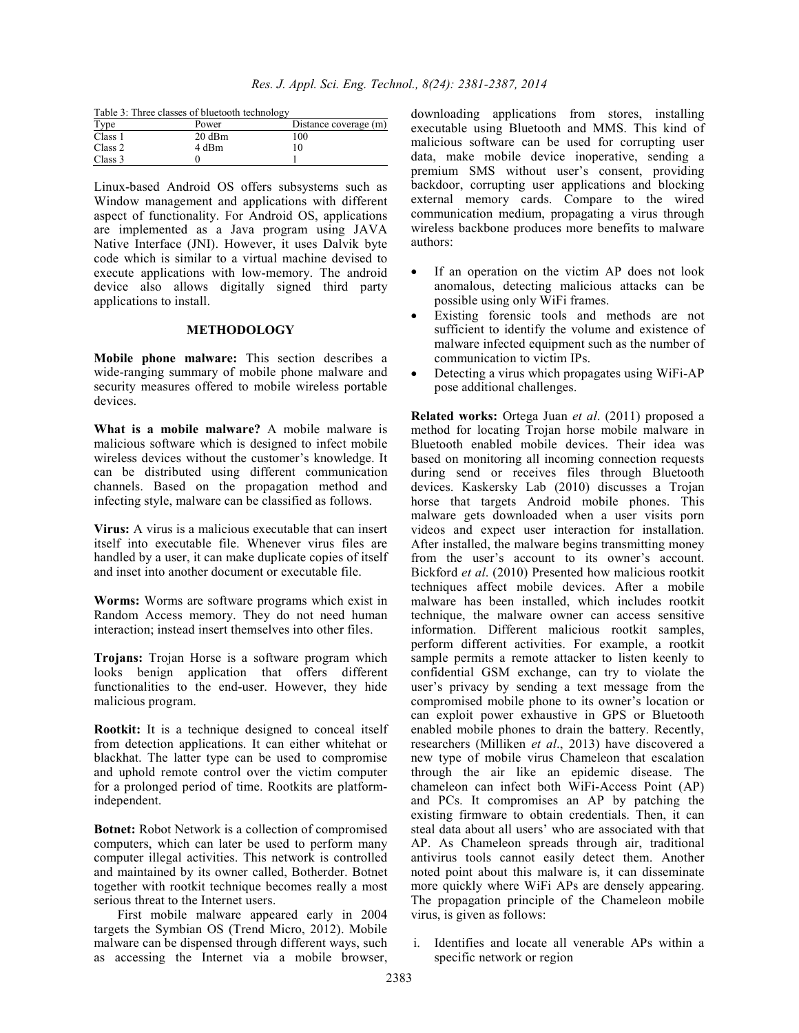| Table 3: Three classes of bluetooth technology |  |
|------------------------------------------------|--|
|                                                |  |

|         |                  | --                    |
|---------|------------------|-----------------------|
| Type    | Power            | Distance coverage (m) |
| Class 1 | $20 \text{ dBm}$ | 100                   |
| Class 2 | 4 dBm            |                       |
| Class 3 |                  |                       |

Linux-based Android OS offers subsystems such as Window management and applications with different aspect of functionality. For Android OS, applications are implemented as a Java program using JAVA Native Interface (JNI). However, it uses Dalvik byte code which is similar to a virtual machine devised to execute applications with low-memory. The android device also allows digitally signed third party applications to install.

#### **METHODOLOGY**

**Mobile phone malware:** This section describes a wide-ranging summary of mobile phone malware and security measures offered to mobile wireless portable devices.

**What is a mobile malware?** A mobile malware is malicious software which is designed to infect mobile wireless devices without the customer's knowledge. It can be distributed using different communication channels. Based on the propagation method and infecting style, malware can be classified as follows.

**Virus:** A virus is a malicious executable that can insert itself into executable file. Whenever virus files are handled by a user, it can make duplicate copies of itself and inset into another document or executable file.

**Worms:** Worms are software programs which exist in Random Access memory. They do not need human interaction; instead insert themselves into other files.

**Trojans:** Trojan Horse is a software program which looks benign application that offers different functionalities to the end-user. However, they hide malicious program.

**Rootkit:** It is a technique designed to conceal itself from detection applications. It can either whitehat or blackhat. The latter type can be used to compromise and uphold remote control over the victim computer for a prolonged period of time. Rootkits are platformindependent.

**Botnet:** Robot Network is a collection of compromised computers, which can later be used to perform many computer illegal activities. This network is controlled and maintained by its owner called, Botherder. Botnet together with rootkit technique becomes really a most serious threat to the Internet users.

First mobile malware appeared early in 2004 targets the Symbian OS (Trend Micro, 2012). Mobile malware can be dispensed through different ways, such as accessing the Internet via a mobile browser,

downloading applications from stores, installing executable using Bluetooth and MMS. This kind of malicious software can be used for corrupting user data, make mobile device inoperative, sending a premium SMS without user's consent, providing backdoor, corrupting user applications and blocking external memory cards. Compare to the wired communication medium, propagating a virus through wireless backbone produces more benefits to malware authors:

- If an operation on the victim AP does not look anomalous, detecting malicious attacks can be possible using only WiFi frames.
- Existing forensic tools and methods are not sufficient to identify the volume and existence of malware infected equipment such as the number of communication to victim IPs.
- Detecting a virus which propagates using WiFi-AP pose additional challenges.

**Related works:** Ortega Juan *et al*. (2011) proposed a method for locating Trojan horse mobile malware in Bluetooth enabled mobile devices. Their idea was based on monitoring all incoming connection requests during send or receives files through Bluetooth devices. Kaskersky Lab (2010) discusses a Trojan horse that targets Android mobile phones. This malware gets downloaded when a user visits porn videos and expect user interaction for installation. After installed, the malware begins transmitting money from the user's account to its owner's account. Bickford *et al*. (2010) Presented how malicious rootkit techniques affect mobile devices. After a mobile malware has been installed, which includes rootkit technique, the malware owner can access sensitive information. Different malicious rootkit samples, perform different activities. For example, a rootkit sample permits a remote attacker to listen keenly to confidential GSM exchange, can try to violate the user's privacy by sending a text message from the compromised mobile phone to its owner's location or can exploit power exhaustive in GPS or Bluetooth enabled mobile phones to drain the battery. Recently, researchers (Milliken *et al*., 2013) have discovered a new type of mobile virus Chameleon that escalation through the air like an epidemic disease. The chameleon can infect both WiFi-Access Point (AP) and PCs. It compromises an AP by patching the existing firmware to obtain credentials. Then, it can steal data about all users' who are associated with that AP. As Chameleon spreads through air, traditional antivirus tools cannot easily detect them. Another noted point about this malware is, it can disseminate more quickly where WiFi APs are densely appearing. The propagation principle of the Chameleon mobile virus, is given as follows:

i. Identifies and locate all venerable APs within a specific network or region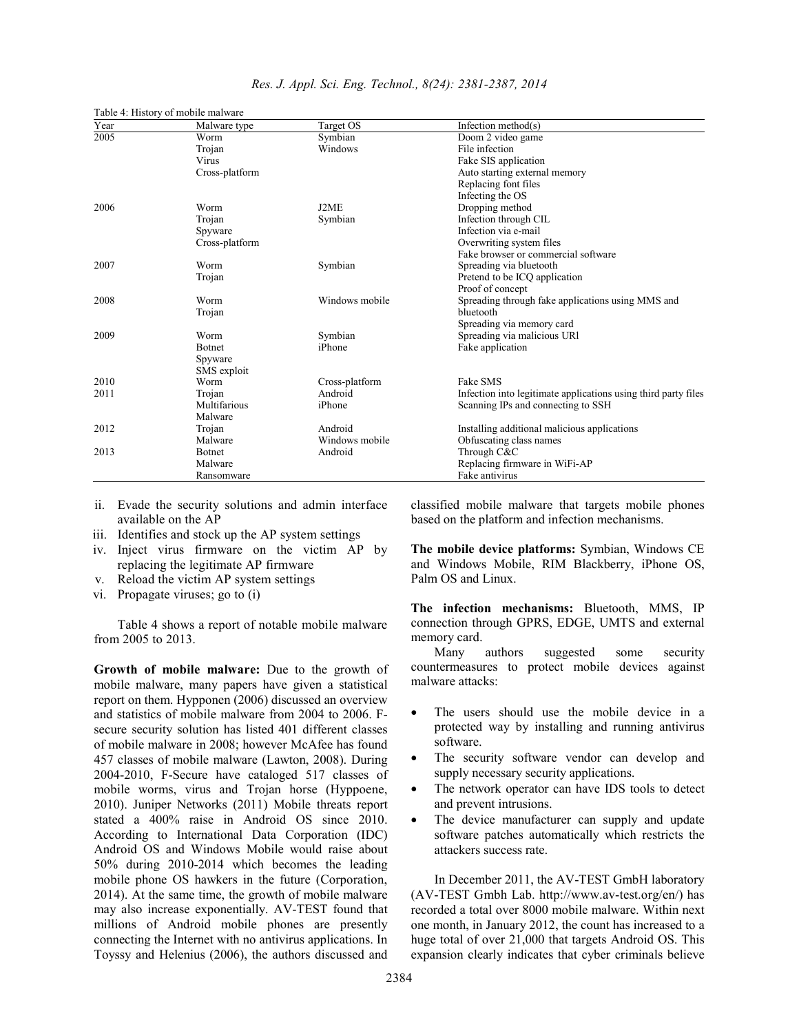| Year | Table 4: History of mobile malware<br>Malware type | Target OS      | Infection method( $s$ )                                        |
|------|----------------------------------------------------|----------------|----------------------------------------------------------------|
| 2005 | Worm                                               | Symbian        | Doom 2 video game                                              |
|      | Trojan                                             | Windows        | File infection                                                 |
|      | Virus                                              |                | Fake SIS application                                           |
|      | Cross-platform                                     |                | Auto starting external memory                                  |
|      |                                                    |                | Replacing font files                                           |
|      |                                                    |                | Infecting the OS                                               |
| 2006 | Worm                                               | J2ME           | Dropping method                                                |
|      | Trojan                                             | Symbian        | Infection through CIL                                          |
|      | Spyware                                            |                | Infection via e-mail                                           |
|      | Cross-platform                                     |                | Overwriting system files                                       |
|      |                                                    |                | Fake browser or commercial software                            |
| 2007 | Worm                                               | Symbian        | Spreading via bluetooth                                        |
|      | Trojan                                             |                | Pretend to be ICQ application                                  |
|      |                                                    |                | Proof of concept                                               |
| 2008 | Worm                                               | Windows mobile | Spreading through fake applications using MMS and              |
|      | Trojan                                             |                | bluetooth                                                      |
|      |                                                    |                | Spreading via memory card                                      |
| 2009 | Worm                                               | Symbian        | Spreading via malicious URI                                    |
|      | Botnet                                             | iPhone         | Fake application                                               |
|      | Spyware                                            |                |                                                                |
|      | SMS exploit                                        |                |                                                                |
| 2010 | Worm                                               | Cross-platform | Fake SMS                                                       |
| 2011 | Trojan                                             | Android        | Infection into legitimate applications using third party files |
|      | Multifarious                                       | iPhone         | Scanning IPs and connecting to SSH                             |
|      | Malware                                            |                |                                                                |
| 2012 | Trojan                                             | Android        | Installing additional malicious applications                   |
|      | Malware                                            | Windows mobile | Obfuscating class names                                        |
| 2013 | <b>Botnet</b>                                      | Android        | Through C&C                                                    |
|      | Malware                                            |                | Replacing firmware in WiFi-AP                                  |
|      | Ransomware                                         |                | Fake antivirus                                                 |

#### *Res. J. Appl. Sci. Eng. Technol., 8(24): 2381-2387, 2014*

- ii. Evade the security solutions and admin interface available on the AP
- iii. Identifies and stock up the AP system settings
- iv. Inject virus firmware on the victim AP by replacing the legitimate AP firmware
- v. Reload the victim AP system settings
- vi. Propagate viruses; go to (i)

Table 4 shows a report of notable mobile malware from 2005 to 2013.

**Growth of mobile malware:** Due to the growth of mobile malware, many papers have given a statistical report on them. Hypponen (2006) discussed an overview and statistics of mobile malware from 2004 to 2006. Fsecure security solution has listed 401 different classes of mobile malware in 2008; however McAfee has found 457 classes of mobile malware (Lawton, 2008). During 2004-2010, F-Secure have cataloged 517 classes of mobile worms, virus and Trojan horse (Hyppoene, 2010). Juniper Networks (2011) Mobile threats report stated a 400% raise in Android OS since 2010. According to International Data Corporation (IDC) Android OS and Windows Mobile would raise about 50% during 2010-2014 which becomes the leading mobile phone OS hawkers in the future (Corporation, 2014). At the same time, the growth of mobile malware may also increase exponentially. AV-TEST found that millions of Android mobile phones are presently connecting the Internet with no antivirus applications. In Toyssy and Helenius (2006), the authors discussed and

classified mobile malware that targets mobile phones based on the platform and infection mechanisms.

**The mobile device platforms:** Symbian, Windows CE and Windows Mobile, RIM Blackberry, iPhone OS, Palm OS and Linux.

**The infection mechanisms:** Bluetooth, MMS, IP connection through GPRS, EDGE, UMTS and external memory card.<br>Many

authors suggested some security countermeasures to protect mobile devices against malware attacks:

- The users should use the mobile device in a protected way by installing and running antivirus software.
- The security software vendor can develop and supply necessary security applications.
- The network operator can have IDS tools to detect and prevent intrusions.
- The device manufacturer can supply and update software patches automatically which restricts the attackers success rate.

In December 2011, the AV-TEST GmbH laboratory (AV-TEST Gmbh Lab. http://www.av-test.org/en/) has recorded a total over 8000 mobile malware. Within next one month, in January 2012, the count has increased to a huge total of over 21,000 that targets Android OS. This expansion clearly indicates that cyber criminals believe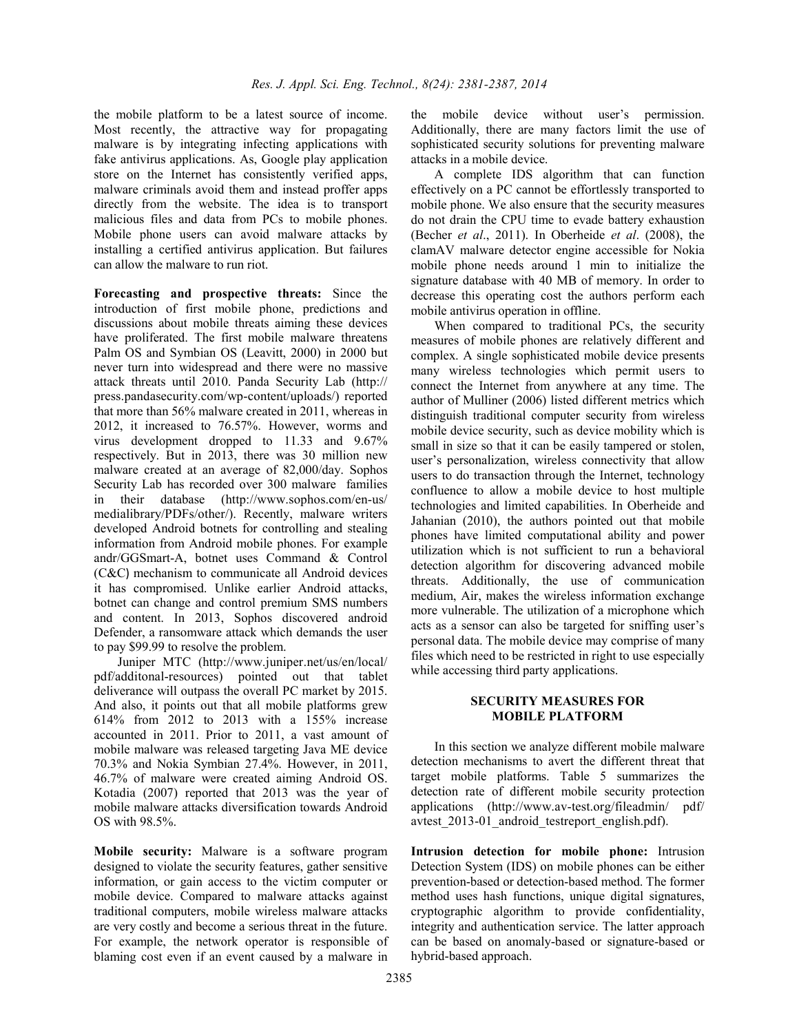the mobile platform to be a latest source of income. Most recently, the attractive way for propagating malware is by integrating infecting applications with fake antivirus applications. As, Google play application store on the Internet has consistently verified apps, malware criminals avoid them and instead proffer apps directly from the website. The idea is to transport malicious files and data from PCs to mobile phones. Mobile phone users can avoid malware attacks by installing a certified antivirus application. But failures can allow the malware to run riot.

**Forecasting and prospective threats:** Since the introduction of first mobile phone, predictions and discussions about mobile threats aiming these devices have proliferated. The first mobile malware threatens Palm OS and Symbian OS (Leavitt, 2000) in 2000 but never turn into widespread and there were no massive attack threats until 2010. Panda Security Lab (http:// press.pandasecurity.com/wp-content/uploads/) reported that more than 56% malware created in 2011, whereas in 2012, it increased to 76.57%. However, worms and virus development dropped to 11.33 and 9.67% respectively. But in 2013, there was 30 million new malware created at an average of 82,000/day. Sophos Security Lab has recorded over 300 malware families in their database (http://www.sophos.com/en-us/ medialibrary/PDFs/other/). Recently, malware writers developed Android botnets for controlling and stealing information from Android mobile phones. For example andr/GGSmart-A, botnet uses Command & Control (C&C) mechanism to communicate all Android devices it has compromised. Unlike earlier Android attacks, botnet can change and control premium SMS numbers and content. In 2013, Sophos discovered android Defender, a ransomware attack which demands the user to pay \$99.99 to resolve the problem.

Juniper MTC (http://www.juniper.net/us/en/local/ pdf/additonal-resources) pointed out that tablet deliverance will outpass the overall PC market by 2015. And also, it points out that all mobile platforms grew 614% from 2012 to 2013 with a 155% increase accounted in 2011. Prior to 2011, a vast amount of mobile malware was released targeting Java ME device 70.3% and Nokia Symbian 27.4%. However, in 2011, 46.7% of malware were created aiming Android OS. Kotadia (2007) reported that 2013 was the year of mobile malware attacks diversification towards Android OS with 98.5%.

**Mobile security:** Malware is a software program designed to violate the security features, gather sensitive information, or gain access to the victim computer or mobile device. Compared to malware attacks against traditional computers, mobile wireless malware attacks are very costly and become a serious threat in the future. For example, the network operator is responsible of blaming cost even if an event caused by a malware in

the mobile device without user's permission. Additionally, there are many factors limit the use of sophisticated security solutions for preventing malware attacks in a mobile device.

A complete IDS algorithm that can function effectively on a PC cannot be effortlessly transported to mobile phone. We also ensure that the security measures do not drain the CPU time to evade battery exhaustion (Becher *et al*., 2011). In Oberheide *et al*. (2008), the clamAV malware detector engine accessible for Nokia mobile phone needs around 1 min to initialize the signature database with 40 MB of memory. In order to decrease this operating cost the authors perform each mobile antivirus operation in offline.

When compared to traditional PCs, the security measures of mobile phones are relatively different and complex. A single sophisticated mobile device presents many wireless technologies which permit users to connect the Internet from anywhere at any time. The author of Mulliner (2006) listed different metrics which distinguish traditional computer security from wireless mobile device security, such as device mobility which is small in size so that it can be easily tampered or stolen, user's personalization, wireless connectivity that allow users to do transaction through the Internet, technology confluence to allow a mobile device to host multiple technologies and limited capabilities. In Oberheide and Jahanian (2010), the authors pointed out that mobile phones have limited computational ability and power utilization which is not sufficient to run a behavioral detection algorithm for discovering advanced mobile threats. Additionally, the use of communication medium, Air, makes the wireless information exchange more vulnerable. The utilization of a microphone which acts as a sensor can also be targeted for sniffing user's personal data. The mobile device may comprise of many files which need to be restricted in right to use especially while accessing third party applications.

## **SECURITY MEASURES FOR MOBILE PLATFORM**

In this section we analyze different mobile malware detection mechanisms to avert the different threat that target mobile platforms. Table 5 summarizes the detection rate of different mobile security protection applications (http://www.av-test.org/fileadmin/ pdf/ avtest\_2013-01\_android\_testreport\_english.pdf).

**Intrusion detection for mobile phone:** Intrusion Detection System (IDS) on mobile phones can be either prevention-based or detection-based method. The former method uses hash functions, unique digital signatures, cryptographic algorithm to provide confidentiality, integrity and authentication service. The latter approach can be based on anomaly-based or signature-based or hybrid-based approach.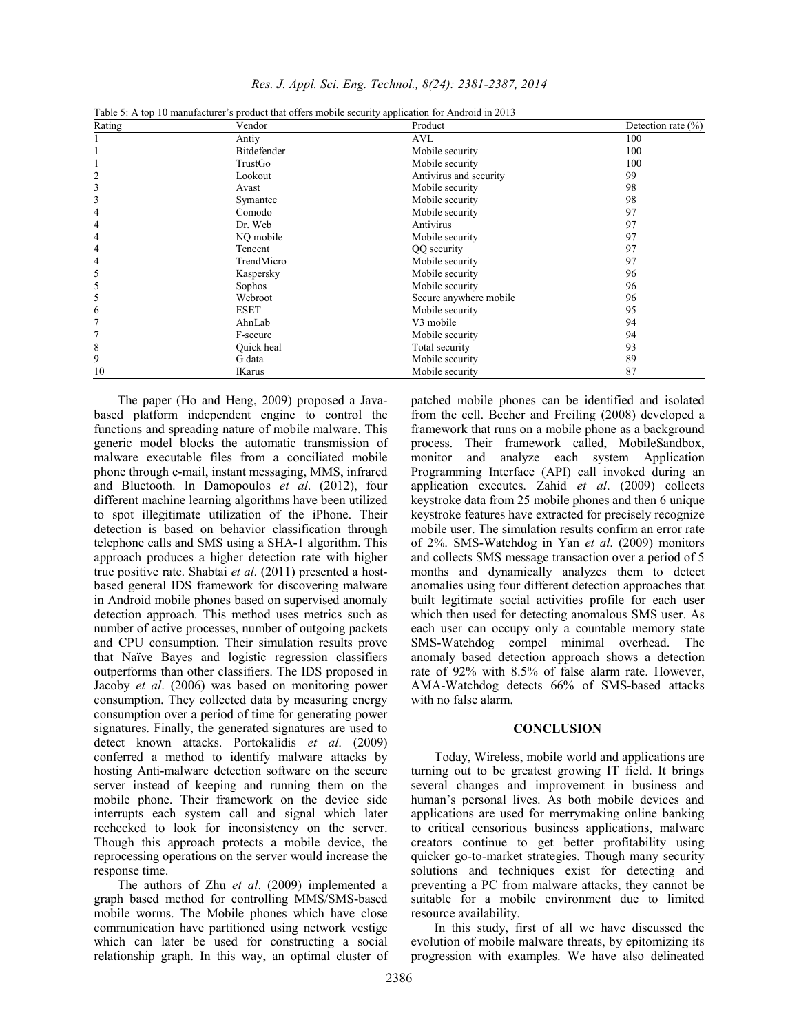| Rating | Vendor        | -------- --- <i>------,</i> --rr<br>Product | Detection rate $(\% )$ |
|--------|---------------|---------------------------------------------|------------------------|
|        | Antiy         | AVL                                         | 100                    |
|        | Bitdefender   | Mobile security                             | 100                    |
|        | TrustGo       | Mobile security                             | 100                    |
| 2      | Lookout       | Antivirus and security                      | 99                     |
| 3      | Avast         | Mobile security                             | 98                     |
| 3      | Symantec      | Mobile security                             | 98                     |
| 4      | Comodo        | Mobile security                             | 97                     |
| 4      | Dr. Web       | Antivirus                                   | 97                     |
| 4      | NO mobile     | Mobile security                             | 97                     |
| 4      | Tencent       | QQ security                                 | 97                     |
| 4      | TrendMicro    | Mobile security                             | 97                     |
| 5      | Kaspersky     | Mobile security                             | 96                     |
| 5      | Sophos        | Mobile security                             | 96                     |
| 5      | Webroot       | Secure anywhere mobile                      | 96                     |
| 6      | <b>ESET</b>   | Mobile security                             | 95                     |
|        | AhnLab        | V3 mobile                                   | 94                     |
|        | F-secure      | Mobile security                             | 94                     |
| 8      | Ouick heal    | Total security                              | 93                     |
| 9      | G data        | Mobile security                             | 89                     |
| 10     | <b>IKarus</b> | Mobile security                             | 87                     |

*Res. J. Appl. Sci. Eng. Technol., 8(24): 2381-2387, 2014* 

Table 5: A top 10 manufacturer's product that offers mobile security application for Android in 2013

The paper (Ho and Heng, 2009) proposed a Javabased platform independent engine to control the functions and spreading nature of mobile malware. This generic model blocks the automatic transmission of malware executable files from a conciliated mobile phone through e-mail, instant messaging, MMS, infrared and Bluetooth. In Damopoulos *et al*. (2012), four different machine learning algorithms have been utilized to spot illegitimate utilization of the iPhone. Their detection is based on behavior classification through telephone calls and SMS using a SHA-1 algorithm. This approach produces a higher detection rate with higher true positive rate. Shabtai *et al*. (2011) presented a hostbased general IDS framework for discovering malware in Android mobile phones based on supervised anomaly detection approach. This method uses metrics such as number of active processes, number of outgoing packets and CPU consumption. Their simulation results prove that Naïve Bayes and logistic regression classifiers outperforms than other classifiers. The IDS proposed in Jacoby *et al*. (2006) was based on monitoring power consumption. They collected data by measuring energy consumption over a period of time for generating power signatures. Finally, the generated signatures are used to detect known attacks. Portokalidis *et al*. (2009) conferred a method to identify malware attacks by hosting Anti-malware detection software on the secure server instead of keeping and running them on the mobile phone. Their framework on the device side interrupts each system call and signal which later rechecked to look for inconsistency on the server. Though this approach protects a mobile device, the reprocessing operations on the server would increase the response time.

The authors of Zhu *et al*. (2009) implemented a graph based method for controlling MMS/SMS-based mobile worms. The Mobile phones which have close communication have partitioned using network vestige which can later be used for constructing a social relationship graph. In this way, an optimal cluster of patched mobile phones can be identified and isolated from the cell. Becher and Freiling (2008) developed a framework that runs on a mobile phone as a background process. Their framework called, MobileSandbox, monitor and analyze each system Application Programming Interface (API) call invoked during an application executes. Zahid *et al*. (2009) collects keystroke data from 25 mobile phones and then 6 unique keystroke features have extracted for precisely recognize mobile user. The simulation results confirm an error rate of 2%. SMS-Watchdog in Yan *et al*. (2009) monitors and collects SMS message transaction over a period of 5 months and dynamically analyzes them to detect anomalies using four different detection approaches that built legitimate social activities profile for each user which then used for detecting anomalous SMS user. As each user can occupy only a countable memory state SMS-Watchdog compel minimal overhead. The anomaly based detection approach shows a detection rate of 92% with 8.5% of false alarm rate. However, AMA-Watchdog detects 66% of SMS-based attacks with no false alarm.

### **CONCLUSION**

Today, Wireless, mobile world and applications are turning out to be greatest growing IT field. It brings several changes and improvement in business and human's personal lives. As both mobile devices and applications are used for merrymaking online banking to critical censorious business applications, malware creators continue to get better profitability using quicker go-to-market strategies. Though many security solutions and techniques exist for detecting and preventing a PC from malware attacks, they cannot be suitable for a mobile environment due to limited resource availability.

In this study, first of all we have discussed the evolution of mobile malware threats, by epitomizing its progression with examples. We have also delineated